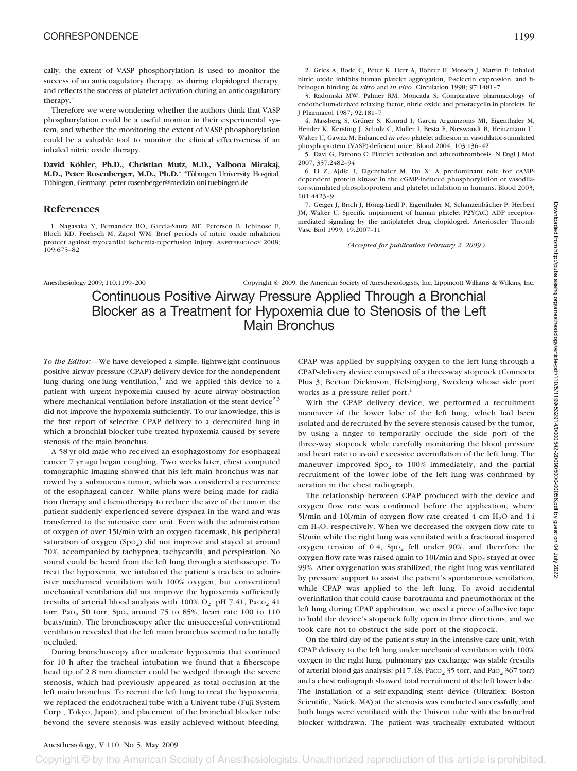cally, the extent of VASP phosphorylation is used to monitor the success of an anticoagulatory therapy, as during clopidogrel therapy, and reflects the success of platelet activation during an anticoagulatory therapy.7

Therefore we were wondering whether the authors think that VASP phosphorylation could be a useful monitor in their experimental system, and whether the monitoring the extent of VASP phosphorylation could be a valuable tool to monitor the clinical effectiveness if an inhaled nitric oxide therapy.

**David Köhler, Ph.D., Christian Mutz, M.D., Valbona Mirakaj, M.D., Peter Rosenberger, M.D., Ph.D.\*** \*Tübingen University Hospital, Tübingen, Germany. peter.rosenberger@medizin.uni-tuebingen.de

## **References**

1. Nagasaka Y, Fernandez BO, Garcia-Saura MF, Petersen B, Ichinose F, Bloch KD, Feelisch M, Zapol WM: Brief periods of nitric oxide inhalation protect against myocardial ischemia-reperfusion injury. ANESTHESIOLOGY 2008; 109:675–82

2. Gries A, Bode C, Peter K, Herr A, Böhrer H, Motsch J, Martin E: Inhaled nitric oxide inhibits human platelet aggregation, P-selectin expression, and fibrinogen binding *in vitro* and *in vivo*. Circulation 1998; 97:1481–7

3. Radomski MW, Palmer RM, Moncada S: Comparative pharmacology of endothelium-derived relaxing factor, nitric oxide and prostacyclin in platelets. Br J Pharmacol 1987; 92:181–7

4. Massberg S, Grüner S, Konrad I, Garcia Arguinzonis MI, Eigenthaler M, Hemler K, Kersting J, Schulz C, Muller I, Besta F, Nieswandt B, Heinzmann U, Walter U, Gawaz M: Enhanced *in vivo* platelet adhesion in vasodilator-stimulated phosphoprotein (VASP)-deficient mice. Blood 2004; 103:136–42

5. Davı` G, Patrono C: Platelet activation and atherothrombosis. N Engl J Med 2007; 357:2482–94

6. Li Z, Ajdic J, Eigenthaler M, Du X: A predominant role for cAMPdependent protein kinase in the cGMP-induced phosphorylation of vasodilator-stimulated phosphoprotein and platelet inhibition in humans. Blood 2003; 101:4423–9

7. Geiger J, Brich J, Hönig-Liedl P, Eigenthaler M, Schanzenbächer P, Herbert JM, Walter U: Specific impairment of human platelet P2Y(AC) ADP receptormediated signaling by the antiplatelet drug clopidogrel. Arterioscler Thromb Vasc Biol 1999; 19:2007–11

*(Accepted for publication February 2, 2009.)*

Anesthesiology 2009; 110:1199–200 Copyright © 2009, the American Society of Anesthesiologists, Inc. Lippincott Williams & Wilkins, Inc.

Continuous Positive Airway Pressure Applied Through a Bronchial Blocker as a Treatment for Hypoxemia due to Stenosis of the Left Main Bronchus

*To the Editor:—*We have developed a simple, lightweight continuous positive airway pressure (CPAP) delivery device for the nondependent lung during one-lung ventilation, $<sup>1</sup>$  and we applied this device to a</sup> patient with urgent hypoxemia caused by acute airway obstruction where mechanical ventilation before installation of the stent device<sup>2,3</sup> did not improve the hypoxemia sufficiently. To our knowledge, this is the first report of selective CPAP delivery to a derecruited lung in which a bronchial blocker tube treated hypoxemia caused by severe stenosis of the main bronchus.

A 58-yr-old male who received an esophagostomy for esophageal cancer 7 yr ago began coughing. Two weeks later, chest computed tomographic imaging showed that his left main bronchus was narrowed by a submucous tumor, which was considered a recurrence of the esophageal cancer. While plans were being made for radiation therapy and chemotherapy to reduce the size of the tumor, the patient suddenly experienced severe dyspnea in the ward and was transferred to the intensive care unit. Even with the administration of oxygen of over 15l/min with an oxygen facemask, his peripheral saturation of oxygen (Spo<sub>2</sub>) did not improve and stayed at around 70%, accompanied by tachypnea, tachycardia, and perspiration. No sound could be heard from the left lung through a stethoscope. To treat the hypoxemia, we intubated the patient's trachea to administer mechanical ventilation with 100% oxygen, but conventional mechanical ventilation did not improve the hypoxemia sufficiently (results of arterial blood analysis with 100%  $O_2$ : pH 7.41, Pac $O_2$  41 torr, Pao<sub>2</sub> 50 torr, Spo<sub>2</sub> around 75 to 85%, heart rate 100 to 110 beats/min). The bronchoscopy after the unsuccessful conventional ventilation revealed that the left main bronchus seemed to be totally occluded.

During bronchoscopy after moderate hypoxemia that continued for 10 h after the tracheal intubation we found that a fiberscope head tip of 2.8 mm diameter could be wedged through the severe stenosis, which had previously appeared as total occlusion at the left main bronchus. To recruit the left lung to treat the hypoxemia, we replaced the endotracheal tube with a Univent tube (Fuji System Corp., Tokyo, Japan), and placement of the bronchial blocker tube beyond the severe stenosis was easily achieved without bleeding. CPAP was applied by supplying oxygen to the left lung through a CPAP-delivery device composed of a three-way stopcock (Connecta Plus 3; Becton Dickinson, Helsingborg, Sweden) whose side port works as a pressure relief port.<sup>1</sup>

With the CPAP delivery device, we performed a recruitment maneuver of the lower lobe of the left lung, which had been isolated and derecruited by the severe stenosis caused by the tumor, by using a finger to temporarily occlude the side port of the three-way stopcock while carefully monitoring the blood pressure and heart rate to avoid excessive overinflation of the left lung. The maneuver improved  $Spo<sub>2</sub>$  to 100% immediately, and the partial recruitment of the lower lobe of the left lung was confirmed by aeration in the chest radiograph.

The relationship between CPAP produced with the device and oxygen flow rate was confirmed before the application, where 5l/min and 10l/min of oxygen flow rate created  $4 \text{ cm H}_2\text{O}$  and  $14 \text{ m}$  $cm H<sub>2</sub>O$ , respectively. When we decreased the oxygen flow rate to 5l/min while the right lung was ventilated with a fractional inspired oxygen tension of  $0.4$ ,  $Spo<sub>2</sub>$  fell under 90%, and therefore the oxygen flow rate was raised again to 10l/min and  $Spo<sub>2</sub>$  stayed at over 99%. After oxygenation was stabilized, the right lung was ventilated by pressure support to assist the patient's spontaneous ventilation, while CPAP was applied to the left lung. To avoid accidental overinflation that could cause barotrauma and pneumothorax of the left lung during CPAP application, we used a piece of adhesive tape to hold the device's stopcock fully open in three directions, and we took care not to obstruct the side port of the stopcock.

On the third day of the patient's stay in the intensive care unit, with CPAP delivery to the left lung under mechanical ventilation with 100% oxygen to the right lung, pulmonary gas exchange was stable (results of arterial blood gas analysis: pH  $7.48$ , Paco<sub>2</sub> 35 torr, and Pao<sub>2</sub> 367 torr) and a chest radiograph showed total recruitment of the left lower lobe. The installation of a self-expanding stent device (Ultraflex; Boston Scientific, Natick, MA) at the stenosis was conducted successfully, and both lungs were ventilated with the Univent tube with the bronchial blocker withdrawn. The patient was tracheally extubated without

## Anesthesiology, V 110, No 5, May 2009